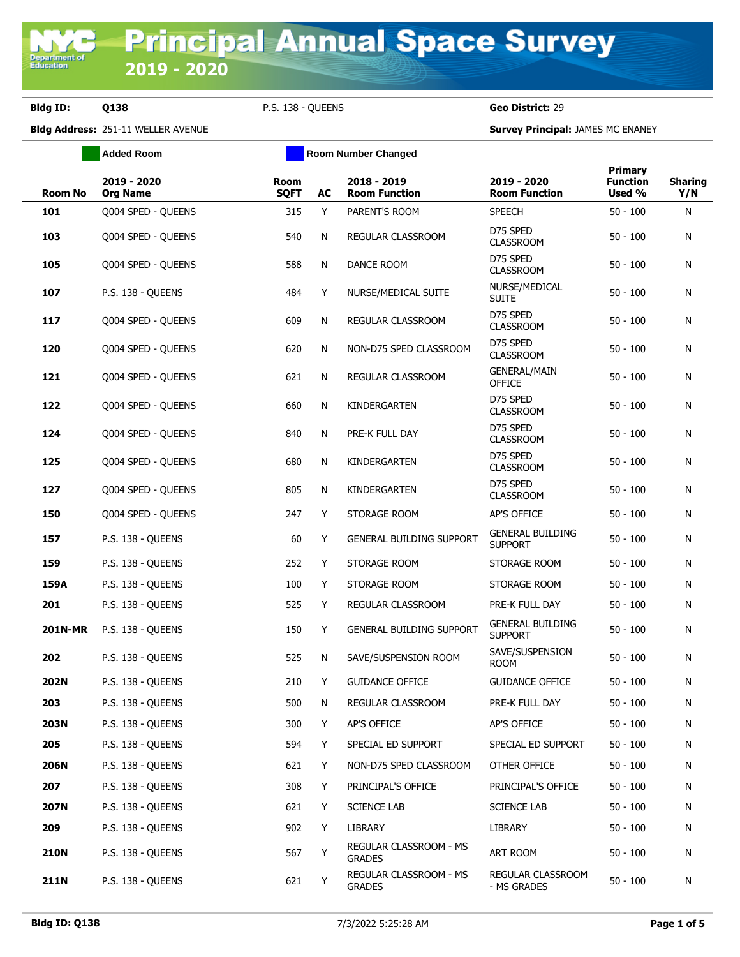**Bldg ID: Q138** P.S. 138 - QUEENS **Geo District:** 29

**Bldg Address:** 251-11 WELLER AVENUE **Survey Principal:** JAMES MC ENANEY

|                | <b>Added Room</b>              | <b>Room Number Changed</b> |    |                                         |                                           |                                      |                       |
|----------------|--------------------------------|----------------------------|----|-----------------------------------------|-------------------------------------------|--------------------------------------|-----------------------|
| <b>Room No</b> | 2019 - 2020<br><b>Org Name</b> | Room<br><b>SQFT</b>        | AC | 2018 - 2019<br><b>Room Function</b>     | 2019 - 2020<br><b>Room Function</b>       | Primary<br><b>Function</b><br>Used % | <b>Sharing</b><br>Y/N |
| 101            | Q004 SPED - QUEENS             | 315                        | Y  | PARENT'S ROOM                           | <b>SPEECH</b>                             | $50 - 100$                           | N                     |
| 103            | Q004 SPED - QUEENS             | 540                        | N  | REGULAR CLASSROOM                       | D75 SPED<br><b>CLASSROOM</b>              | $50 - 100$                           | N                     |
| 105            | Q004 SPED - QUEENS             | 588                        | N  | DANCE ROOM                              | D75 SPED<br><b>CLASSROOM</b>              | $50 - 100$                           | N                     |
| 107            | P.S. 138 - OUEENS              | 484                        | Y  | NURSE/MEDICAL SUITE                     | NURSE/MEDICAL<br><b>SUITE</b>             | $50 - 100$                           | N                     |
| 117            | Q004 SPED - QUEENS             | 609                        | N  | <b>REGULAR CLASSROOM</b>                | D75 SPED<br><b>CLASSROOM</b>              | $50 - 100$                           | N                     |
| 120            | Q004 SPED - QUEENS             | 620                        | N  | NON-D75 SPED CLASSROOM                  | D75 SPED<br><b>CLASSROOM</b>              | 50 - 100                             | N                     |
| 121            | Q004 SPED - QUEENS             | 621                        | N  | REGULAR CLASSROOM                       | <b>GENERAL/MAIN</b><br><b>OFFICE</b>      | 50 - 100                             | N                     |
| 122            | Q004 SPED - QUEENS             | 660                        | N  | KINDERGARTEN                            | D75 SPED<br><b>CLASSROOM</b>              | 50 - 100                             | N                     |
| 124            | Q004 SPED - QUEENS             | 840                        | N  | PRE-K FULL DAY                          | D75 SPED<br><b>CLASSROOM</b>              | 50 - 100                             | N                     |
| 125            | Q004 SPED - QUEENS             | 680                        | N  | KINDERGARTEN                            | D75 SPED<br><b>CLASSROOM</b>              | $50 - 100$                           | N                     |
| 127            | Q004 SPED - QUEENS             | 805                        | N  | KINDERGARTEN                            | D75 SPED<br><b>CLASSROOM</b>              | 50 - 100                             | N                     |
| 150            | Q004 SPED - QUEENS             | 247                        | Y  | STORAGE ROOM                            | AP'S OFFICE                               | 50 - 100                             | N                     |
| 157            | P.S. 138 - QUEENS              | 60                         | Y  | <b>GENERAL BUILDING SUPPORT</b>         | <b>GENERAL BUILDING</b><br><b>SUPPORT</b> | $50 - 100$                           | N                     |
| 159            | P.S. 138 - QUEENS              | 252                        | Y  | STORAGE ROOM                            | STORAGE ROOM                              | $50 - 100$                           | N                     |
| 159A           | P.S. 138 - QUEENS              | 100                        | Y  | STORAGE ROOM                            | STORAGE ROOM                              | 50 - 100                             | N                     |
| 201            | P.S. 138 - QUEENS              | 525                        | Y  | REGULAR CLASSROOM                       | PRE-K FULL DAY                            | $50 - 100$                           | N                     |
| <b>201N-MR</b> | P.S. 138 - QUEENS              | 150                        | Y  | GENERAL BUILDING SUPPORT                | <b>GENERAL BUILDING</b><br><b>SUPPORT</b> | $50 - 100$                           | N                     |
| 202            | P.S. 138 - QUEENS              | 525                        | N  | SAVE/SUSPENSION ROOM                    | SAVE/SUSPENSION<br><b>ROOM</b>            | 50 - 100                             | N                     |
| 202N           | P.S. 138 - QUEENS              | 210                        | Y  | <b>GUIDANCE OFFICE</b>                  | <b>GUIDANCE OFFICE</b>                    | 50 - 100                             | N                     |
| 203            | P.S. 138 - QUEENS              | 500                        | N  | REGULAR CLASSROOM                       | PRE-K FULL DAY                            | $50 - 100$                           | N                     |
| <b>203N</b>    | P.S. 138 - QUEENS              | 300                        | Y  | AP'S OFFICE                             | AP'S OFFICE                               | $50 - 100$                           | N                     |
| 205            | P.S. 138 - OUEENS              | 594                        | Y  | SPECIAL ED SUPPORT                      | SPECIAL ED SUPPORT                        | $50 - 100$                           | N                     |
| 206N           | P.S. 138 - QUEENS              | 621                        | Y  | NON-D75 SPED CLASSROOM                  | OTHER OFFICE                              | 50 - 100                             | N                     |
| 207            | P.S. 138 - QUEENS              | 308                        | Y  | PRINCIPAL'S OFFICE                      | PRINCIPAL'S OFFICE                        | $50 - 100$                           | N                     |
| <b>207N</b>    | P.S. 138 - QUEENS              | 621                        | Y  | <b>SCIENCE LAB</b>                      | <b>SCIENCE LAB</b>                        | $50 - 100$                           | N                     |
| 209            | P.S. 138 - QUEENS              | 902                        | Y  | LIBRARY                                 | LIBRARY                                   | 50 - 100                             | N                     |
| <b>210N</b>    | P.S. 138 - QUEENS              | 567                        | Y  | REGULAR CLASSROOM - MS<br><b>GRADES</b> | ART ROOM                                  | $50 - 100$                           | N                     |
| <b>211N</b>    | P.S. 138 - QUEENS              | 621                        | Y  | REGULAR CLASSROOM - MS<br><b>GRADES</b> | REGULAR CLASSROOM<br>- MS GRADES          | $50 - 100$                           | N                     |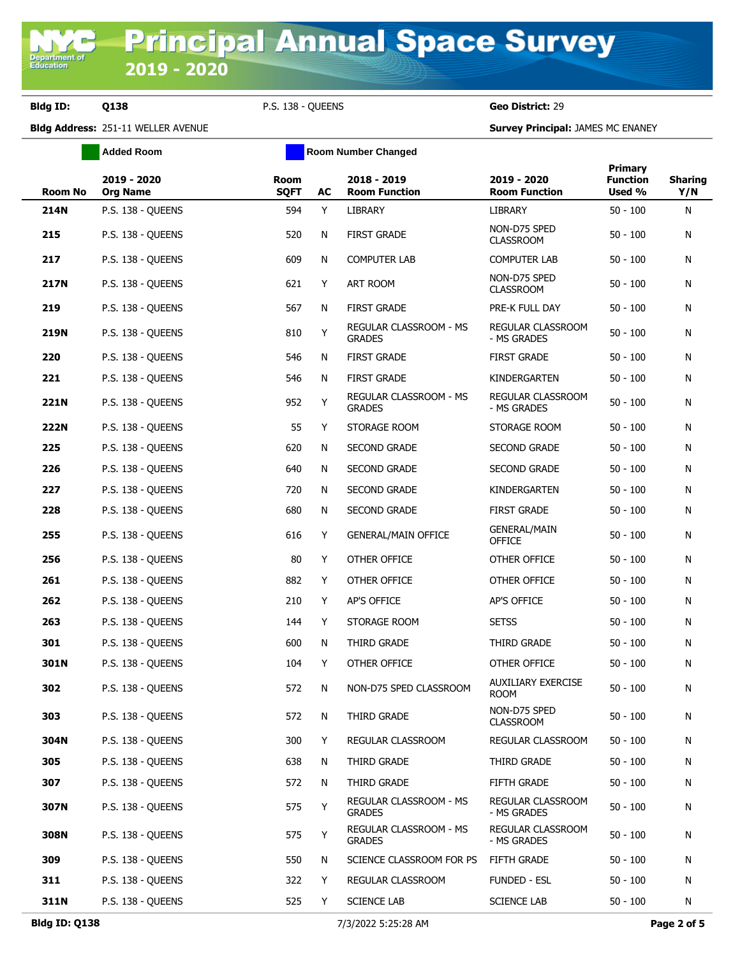## **Bldg ID: Q138** P.S. 138 - QUEENS **Geo District:** 29

**Added Room Room Room Number Changed** 

**Bldg Address:** 251-11 WELLER AVENUE **Survey Principal:** JAMES MC ENANEY

| <b>Room No</b> | 2019 - 2020<br><b>Org Name</b> | <b>Room</b><br><b>SQFT</b> | AC | 2018 - 2019<br><b>Room Function</b>            | 2019 - 2020<br><b>Room Function</b>      | Primary<br><b>Function</b><br>Used % | <b>Sharing</b><br>Y/N |
|----------------|--------------------------------|----------------------------|----|------------------------------------------------|------------------------------------------|--------------------------------------|-----------------------|
| 214N           | P.S. 138 - QUEENS              | 594                        | Y  | <b>LIBRARY</b>                                 | LIBRARY                                  | $50 - 100$                           | N                     |
| 215            | P.S. 138 - QUEENS              | 520                        | N  | <b>FIRST GRADE</b>                             | NON-D75 SPED<br><b>CLASSROOM</b>         | $50 - 100$                           | N                     |
| 217            | P.S. 138 - QUEENS              | 609                        | N  | <b>COMPUTER LAB</b>                            | <b>COMPUTER LAB</b>                      | $50 - 100$                           | N                     |
| <b>217N</b>    | P.S. 138 - QUEENS              | 621                        | Y  | ART ROOM                                       | NON-D75 SPED<br><b>CLASSROOM</b>         | $50 - 100$                           | N                     |
| 219            | P.S. 138 - QUEENS              | 567                        | N  | <b>FIRST GRADE</b>                             | PRE-K FULL DAY                           | $50 - 100$                           | N                     |
| 219N           | P.S. 138 - QUEENS              | 810                        | Y  | <b>REGULAR CLASSROOM - MS</b><br><b>GRADES</b> | <b>REGULAR CLASSROOM</b><br>- MS GRADES  | $50 - 100$                           | N                     |
| 220            | P.S. 138 - QUEENS              | 546                        | N  | <b>FIRST GRADE</b>                             | <b>FIRST GRADE</b>                       | $50 - 100$                           | N                     |
| 221            | P.S. 138 - QUEENS              | 546                        | N  | <b>FIRST GRADE</b>                             | KINDERGARTEN                             | $50 - 100$                           | N                     |
| 221N           | P.S. 138 - OUEENS              | 952                        | Y  | REGULAR CLASSROOM - MS<br><b>GRADES</b>        | REGULAR CLASSROOM<br>- MS GRADES         | $50 - 100$                           | N                     |
| <b>222N</b>    | P.S. 138 - QUEENS              | 55                         | Y  | STORAGE ROOM                                   | STORAGE ROOM                             | $50 - 100$                           | N                     |
| 225            | P.S. 138 - QUEENS              | 620                        | N  | <b>SECOND GRADE</b>                            | <b>SECOND GRADE</b>                      | $50 - 100$                           | N                     |
| 226            | P.S. 138 - OUEENS              | 640                        | N  | <b>SECOND GRADE</b>                            | <b>SECOND GRADE</b>                      | $50 - 100$                           | N                     |
| 227            | P.S. 138 - QUEENS              | 720                        | N  | <b>SECOND GRADE</b>                            | KINDERGARTEN                             | $50 - 100$                           | N                     |
| 228            | P.S. 138 - QUEENS              | 680                        | N  | SECOND GRADE                                   | <b>FIRST GRADE</b>                       | $50 - 100$                           | N                     |
| 255            | P.S. 138 - QUEENS              | 616                        | Y  | <b>GENERAL/MAIN OFFICE</b>                     | <b>GENERAL/MAIN</b><br><b>OFFICE</b>     | $50 - 100$                           | N                     |
| 256            | P.S. 138 - QUEENS              | 80                         | Y  | OTHER OFFICE                                   | OTHER OFFICE                             | $50 - 100$                           | N                     |
| 261            | P.S. 138 - QUEENS              | 882                        | Y  | OTHER OFFICE                                   | OTHER OFFICE                             | $50 - 100$                           | N                     |
| 262            | P.S. 138 - QUEENS              | 210                        | Y  | AP'S OFFICE                                    | AP'S OFFICE                              | $50 - 100$                           | N                     |
| 263            | P.S. 138 - QUEENS              | 144                        | Y  | STORAGE ROOM                                   | <b>SETSS</b>                             | $50 - 100$                           | N                     |
| 301            | P.S. 138 - QUEENS              | 600                        | N  | THIRD GRADE                                    | THIRD GRADE                              | $50 - 100$                           | N                     |
| 301N           | P.S. 138 - QUEENS              | 104                        | Y  | OTHER OFFICE                                   | OTHER OFFICE                             | $50 - 100$                           | N                     |
| 302            | P.S. 138 - OUEENS              | 572                        | N  | NON-D75 SPED CLASSROOM                         | <b>AUXILIARY EXERCISE</b><br><b>ROOM</b> | $50 - 100$                           | N                     |
| 303            | P.S. 138 - QUEENS              | 572                        | N  | THIRD GRADE                                    | NON-D75 SPED<br><b>CLASSROOM</b>         | $50 - 100$                           | N                     |
| 304N           | P.S. 138 - QUEENS              | 300                        | Y  | REGULAR CLASSROOM                              | REGULAR CLASSROOM                        | $50 - 100$                           | N                     |
| 305            | P.S. 138 - QUEENS              | 638                        | N  | THIRD GRADE                                    | THIRD GRADE                              | $50 - 100$                           | N                     |
| 307            | P.S. 138 - QUEENS              | 572                        | N  | THIRD GRADE                                    | FIFTH GRADE                              | $50 - 100$                           | N                     |
| 307N           | P.S. 138 - OUEENS              | 575                        | Y  | REGULAR CLASSROOM - MS<br><b>GRADES</b>        | REGULAR CLASSROOM<br>- MS GRADES         | $50 - 100$                           | N                     |
| 308N           | P.S. 138 - QUEENS              | 575                        | Y  | REGULAR CLASSROOM - MS<br><b>GRADES</b>        | REGULAR CLASSROOM<br>- MS GRADES         | $50 - 100$                           | N                     |
| 309            | P.S. 138 - QUEENS              | 550                        | N  | SCIENCE CLASSROOM FOR PS                       | <b>FIFTH GRADE</b>                       | $50 - 100$                           | N                     |
| 311            | P.S. 138 - QUEENS              | 322                        | Y  | REGULAR CLASSROOM                              | <b>FUNDED - ESL</b>                      | $50 - 100$                           | N                     |
| 311N           | P.S. 138 - QUEENS              | 525                        | Y  | <b>SCIENCE LAB</b>                             | <b>SCIENCE LAB</b>                       | $50 - 100$                           | N                     |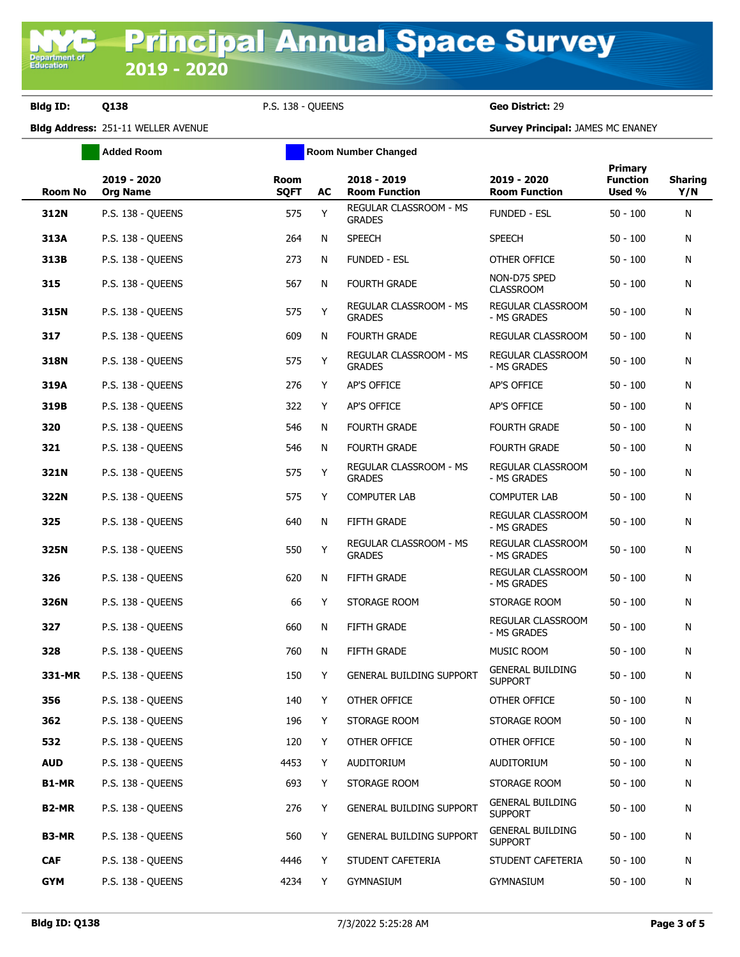**Bldg ID: Q138** P.S. 138 - QUEENS **Geo District:** 29

**Added Room Room Room Number Changed** 

**Bldg Address:** 251-11 WELLER AVENUE **Survey Principal:** JAMES MC ENANEY

| Room No            | 2019 - 2020<br><b>Org Name</b> | <b>Room</b><br><b>SQFT</b> | AC | 2018 - 2019<br><b>Room Function</b>            | 2019 - 2020<br><b>Room Function</b>       | Primary<br><b>Function</b><br>Used % | <b>Sharing</b><br>Y/N |
|--------------------|--------------------------------|----------------------------|----|------------------------------------------------|-------------------------------------------|--------------------------------------|-----------------------|
| 312N               | P.S. 138 - QUEENS              | 575                        | Y  | REGULAR CLASSROOM - MS<br><b>GRADES</b>        | <b>FUNDED - ESL</b>                       | $50 - 100$                           | N                     |
| 313A               | P.S. 138 - QUEENS              | 264                        | N  | <b>SPEECH</b>                                  | <b>SPEECH</b>                             | $50 - 100$                           | N                     |
| 313B               | P.S. 138 - QUEENS              | 273                        | N  | <b>FUNDED - ESL</b>                            | OTHER OFFICE                              | $50 - 100$                           | N                     |
| 315                | P.S. 138 - QUEENS              | 567                        | N  | <b>FOURTH GRADE</b>                            | NON-D75 SPED<br><b>CLASSROOM</b>          | $50 - 100$                           | N                     |
| 315N               | P.S. 138 - QUEENS              | 575                        | Y  | REGULAR CLASSROOM - MS<br><b>GRADES</b>        | REGULAR CLASSROOM<br>- MS GRADES          | $50 - 100$                           | N                     |
| 317                | P.S. 138 - OUEENS              | 609                        | N  | <b>FOURTH GRADE</b>                            | REGULAR CLASSROOM                         | $50 - 100$                           | N                     |
| 318N               | P.S. 138 - QUEENS              | 575                        | Y  | REGULAR CLASSROOM - MS<br><b>GRADES</b>        | REGULAR CLASSROOM<br>- MS GRADES          | $50 - 100$                           | N                     |
| 319A               | P.S. 138 - QUEENS              | 276                        | Y  | AP'S OFFICE                                    | AP'S OFFICE                               | $50 - 100$                           | N                     |
| 319B               | P.S. 138 - OUEENS              | 322                        | Y  | AP'S OFFICE                                    | AP'S OFFICE                               | $50 - 100$                           | N                     |
| 320                | P.S. 138 - QUEENS              | 546                        | N  | <b>FOURTH GRADE</b>                            | <b>FOURTH GRADE</b>                       | $50 - 100$                           | N                     |
| 321                | P.S. 138 - OUEENS              | 546                        | N  | <b>FOURTH GRADE</b>                            | <b>FOURTH GRADE</b>                       | $50 - 100$                           | N                     |
| 321N               | P.S. 138 - QUEENS              | 575                        | Y  | <b>REGULAR CLASSROOM - MS</b><br><b>GRADES</b> | REGULAR CLASSROOM<br>- MS GRADES          | $50 - 100$                           | N                     |
| 322N               | P.S. 138 - QUEENS              | 575                        | Y  | <b>COMPUTER LAB</b>                            | <b>COMPUTER LAB</b>                       | $50 - 100$                           | N                     |
| 325                | P.S. 138 - QUEENS              | 640                        | N  | <b>FIFTH GRADE</b>                             | REGULAR CLASSROOM<br>- MS GRADES          | $50 - 100$                           | N                     |
| 325N               | P.S. 138 - QUEENS              | 550                        | Y  | REGULAR CLASSROOM - MS<br><b>GRADES</b>        | REGULAR CLASSROOM<br>- MS GRADES          | $50 - 100$                           | N                     |
| 326                | P.S. 138 - QUEENS              | 620                        | N  | FIFTH GRADE                                    | REGULAR CLASSROOM<br>- MS GRADES          | $50 - 100$                           | N                     |
| 326N               | P.S. 138 - QUEENS              | 66                         | Y  | STORAGE ROOM                                   | STORAGE ROOM                              | $50 - 100$                           | N                     |
| 327                | P.S. 138 - QUEENS              | 660                        | N  | FIFTH GRADE                                    | REGULAR CLASSROOM<br>- MS GRADES          | $50 - 100$                           | N                     |
| 328                | P.S. 138 - OUEENS              | 760                        | N  | FIFTH GRADE                                    | MUSIC ROOM                                | $50 - 100$                           | N                     |
| 331-MR             | P.S. 138 - QUEENS              | 150                        | Y  | <b>GENERAL BUILDING SUPPORT</b>                | <b>GENERAL BUILDING</b><br><b>SUPPORT</b> | $50 - 100$                           | N                     |
| 356                | P.S. 138 - OUEENS              | 140                        | Y  | OTHER OFFICE                                   | OTHER OFFICE                              | $50 - 100$                           | N                     |
| 362                | P.S. 138 - QUEENS              | 196                        | Y  | STORAGE ROOM                                   | STORAGE ROOM                              | $50 - 100$                           | N                     |
| 532                | P.S. 138 - QUEENS              | 120                        | Y  | OTHER OFFICE                                   | OTHER OFFICE                              | $50 - 100$                           | N                     |
| <b>AUD</b>         | P.S. 138 - QUEENS              | 4453                       | Y  | AUDITORIUM                                     | AUDITORIUM                                | $50 - 100$                           | N                     |
| B1-MR              | P.S. 138 - QUEENS              | 693                        | Y  | STORAGE ROOM                                   | STORAGE ROOM                              | $50 - 100$                           | N                     |
| B <sub>2</sub> -MR | P.S. 138 - QUEENS              | 276                        | Y  | GENERAL BUILDING SUPPORT                       | <b>GENERAL BUILDING</b><br><b>SUPPORT</b> | $50 - 100$                           | N                     |
| B3-MR              | P.S. 138 - QUEENS              | 560                        | Y  | GENERAL BUILDING SUPPORT                       | <b>GENERAL BUILDING</b><br><b>SUPPORT</b> | $50 - 100$                           | N                     |
| <b>CAF</b>         | P.S. 138 - QUEENS              | 4446                       | Y  | STUDENT CAFETERIA                              | STUDENT CAFETERIA                         | $50 - 100$                           | N                     |
| <b>GYM</b>         | P.S. 138 - QUEENS              | 4234                       | Y  | <b>GYMNASIUM</b>                               | <b>GYMNASIUM</b>                          | $50 - 100$                           | N                     |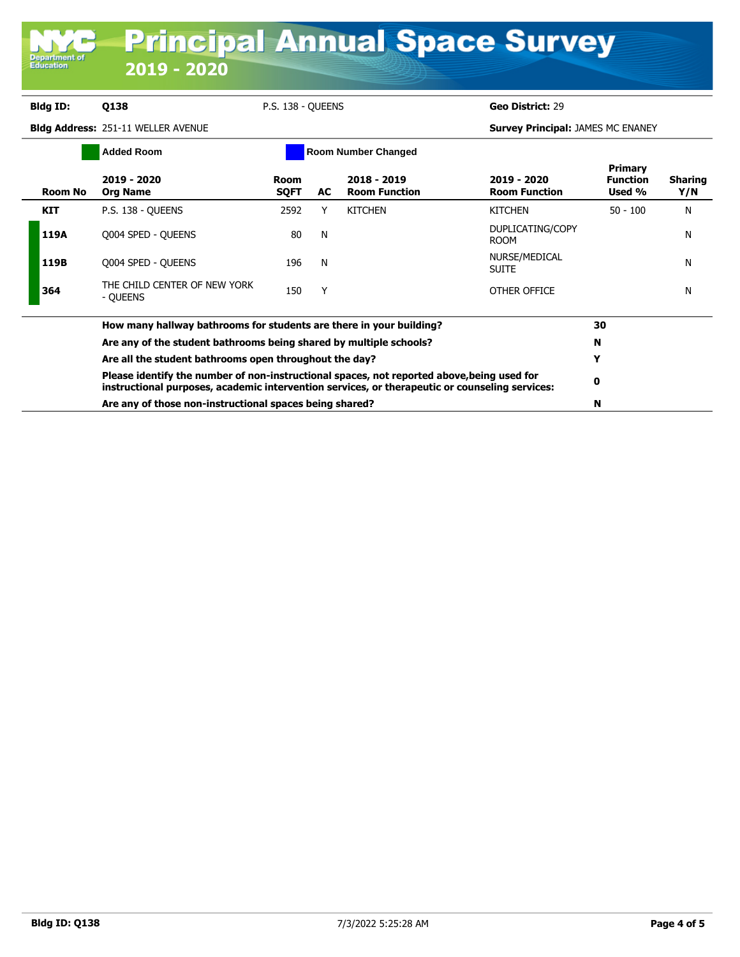| <b>Department of</b><br>Education | 2019 - 2020                               |                     |    |                                       | <b>Principal Annual Space Survey</b>     |                                             |                       |
|-----------------------------------|-------------------------------------------|---------------------|----|---------------------------------------|------------------------------------------|---------------------------------------------|-----------------------|
|                                   |                                           |                     |    |                                       |                                          |                                             |                       |
| <b>Bldg ID:</b>                   | <b>Q138</b>                               | P.S. 138 - OUEENS   |    |                                       | Geo District: 29                         |                                             |                       |
|                                   | <b>Bldg Address: 251-11 WELLER AVENUE</b> |                     |    |                                       | <b>Survey Principal: JAMES MC ENANEY</b> |                                             |                       |
|                                   | <b>Added Room</b>                         |                     |    | <b>Room Number Changed</b>            |                                          |                                             |                       |
| Room No                           | 2019 - 2020<br><b>Org Name</b>            | Room<br><b>SOFT</b> | AC | $2018 - 2019$<br><b>Room Function</b> | 2019 - 2020<br><b>Room Function</b>      | <b>Primary</b><br><b>Function</b><br>Used % | <b>Sharing</b><br>Y/N |
| <b>KIT</b>                        | P.S. 138 - OUEENS                         | 2592                | Υ  | <b>KITCHEN</b>                        | <b>KITCHEN</b>                           | $50 - 100$                                  | N                     |
| 119A                              | Q004 SPED - QUEENS                        | 80                  | N  |                                       | DUPLICATING/COPY<br><b>ROOM</b>          |                                             | N                     |
| 119B                              | Q004 SPED - QUEENS                        | 196                 | N  |                                       | NURSE/MEDICAL<br><b>SUITE</b>            |                                             | Ν                     |
| 364                               | THE CHILD CENTER OF NEW YORK<br>- OUEENS  | 150                 | Υ  |                                       | OTHER OFFICE                             |                                             | Ν                     |

| How many hallway bathrooms for students are there in your building?                                                                                                                          | 30 |  |
|----------------------------------------------------------------------------------------------------------------------------------------------------------------------------------------------|----|--|
| Are any of the student bathrooms being shared by multiple schools?                                                                                                                           | N  |  |
| Are all the student bathrooms open throughout the day?                                                                                                                                       |    |  |
| Please identify the number of non-instructional spaces, not reported above, being used for<br>instructional purposes, academic intervention services, or therapeutic or counseling services: |    |  |
| Are any of those non-instructional spaces being shared?                                                                                                                                      |    |  |

I I